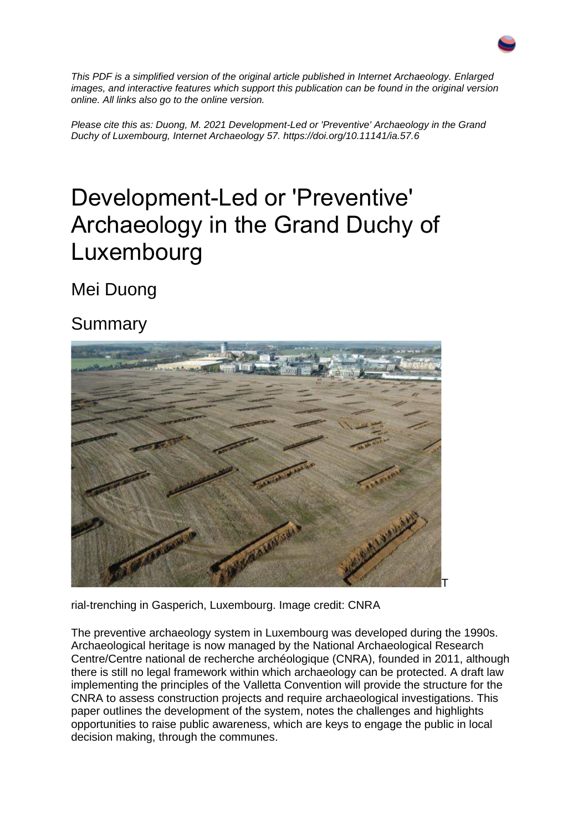

*This PDF is a simplified version of the original article published in Internet Archaeology. Enlarged images, and interactive features which support this publication can be found in the original version online. All links also go to the online version.*

*Please cite this as: Duong, M. 2021 Development-Led or 'Preventive' Archaeology in the Grand Duchy of Luxembourg, Internet Archaeology 57. https://doi.org/10.11141/ia.57.6*

### Development-Led or 'Preventive' Archaeology in the Grand Duchy of Luxembourg

Mei Duong

#### Summary



rial-trenching in Gasperich, Luxembourg. Image credit: CNRA

The preventive archaeology system in Luxembourg was developed during the 1990s. Archaeological heritage is now managed by the National Archaeological Research Centre/Centre national de recherche archéologique (CNRA), founded in 2011, although there is still no legal framework within which archaeology can be protected. A draft law implementing the principles of the Valletta Convention will provide the structure for the CNRA to assess construction projects and require archaeological investigations. This paper outlines the development of the system, notes the challenges and highlights opportunities to raise public awareness, which are keys to engage the public in local decision making, through the communes.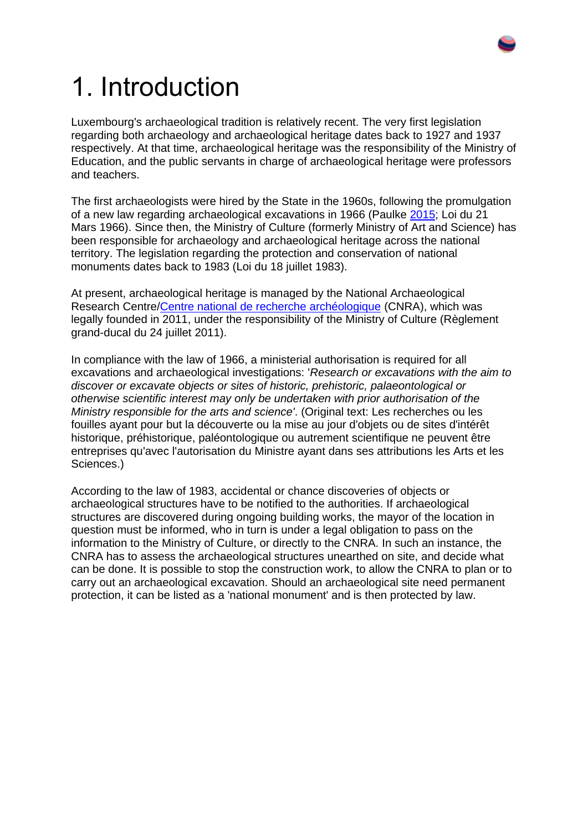

## 1. Introduction

Luxembourg's archaeological tradition is relatively recent. The very first legislation regarding both archaeology and archaeological heritage dates back to 1927 and 1937 respectively. At that time, archaeological heritage was the responsibility of the Ministry of Education, and the public servants in charge of archaeological heritage were professors and teachers.

The first archaeologists were hired by the State in the 1960s, following the promulgation of a new law regarding archaeological excavations in 1966 (Paulke [2015;](https://intarch.ac.uk/journal/issue57/6duong/index.html#biblio) Loi du 21 Mars 1966). Since then, the Ministry of Culture (formerly Ministry of Art and Science) has been responsible for archaeology and archaeological heritage across the national territory. The legislation regarding the protection and conservation of national monuments dates back to 1983 (Loi du 18 juillet 1983).

At present, archaeological heritage is managed by the National Archaeological Research Centre[/Centre national de recherche archéologique](https://cnra.lu/fr) (CNRA), which was legally founded in 2011, under the responsibility of the Ministry of Culture (Règlement grand-ducal du 24 juillet 2011).

In compliance with the law of 1966, a ministerial authorisation is required for all excavations and archaeological investigations: '*Research or excavations with the aim to discover or excavate objects or sites of historic, prehistoric, palaeontological or otherwise scientific interest may only be undertaken with prior authorisation of the Ministry responsible for the arts and science'*. (Original text: Les recherches ou les fouilles ayant pour but la découverte ou la mise au jour d'objets ou de sites d'intérêt historique, préhistorique, paléontologique ou autrement scientifique ne peuvent être entreprises qu'avec l'autorisation du Ministre ayant dans ses attributions les Arts et les Sciences.)

According to the law of 1983, accidental or chance discoveries of objects or archaeological structures have to be notified to the authorities. If archaeological structures are discovered during ongoing building works, the mayor of the location in question must be informed, who in turn is under a legal obligation to pass on the information to the Ministry of Culture, or directly to the CNRA. In such an instance, the CNRA has to assess the archaeological structures unearthed on site, and decide what can be done. It is possible to stop the construction work, to allow the CNRA to plan or to carry out an archaeological excavation. Should an archaeological site need permanent protection, it can be listed as a 'national monument' and is then protected by law.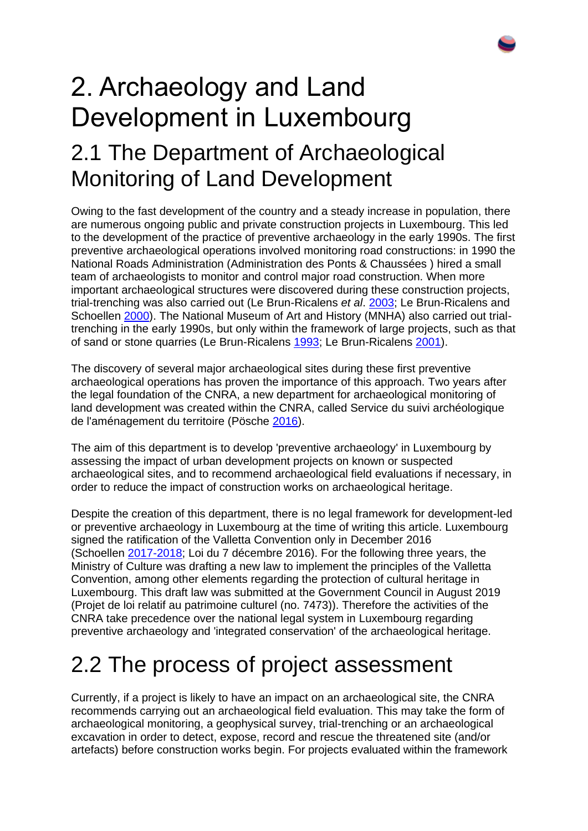## 2. Archaeology and Land Development in Luxembourg 2.1 The Department of Archaeological Monitoring of Land Development

Owing to the fast development of the country and a steady increase in population, there are numerous ongoing public and private construction projects in Luxembourg. This led to the development of the practice of preventive archaeology in the early 1990s. The first preventive archaeological operations involved monitoring road constructions: in 1990 the National Roads Administration (Administration des Ponts & Chaussées ) hired a small team of archaeologists to monitor and control major road construction. When more important archaeological structures were discovered during these construction projects, trial-trenching was also carried out (Le Brun-Ricalens *et al*. [2003;](https://intarch.ac.uk/journal/issue57/6duong/index.html#biblio) Le Brun-Ricalens and Schoellen [2000\)](https://intarch.ac.uk/journal/issue57/6duong/index.html#biblio). The National Museum of Art and History (MNHA) also carried out trialtrenching in the early 1990s, but only within the framework of large projects, such as that of sand or stone quarries (Le Brun-Ricalens [1993;](https://intarch.ac.uk/journal/issue57/6duong/index.html#biblio) Le Brun-Ricalens [2001\)](https://intarch.ac.uk/journal/issue57/6duong/index.html#biblio).

The discovery of several major archaeological sites during these first preventive archaeological operations has proven the importance of this approach. Two years after the legal foundation of the CNRA, a new department for archaeological monitoring of land development was created within the CNRA, called Service du suivi archéologique de l'aménagement du territoire (Pösche [2016\)](https://intarch.ac.uk/journal/issue57/6duong/index.html#biblio).

The aim of this department is to develop 'preventive archaeology' in Luxembourg by assessing the impact of urban development projects on known or suspected archaeological sites, and to recommend archaeological field evaluations if necessary, in order to reduce the impact of construction works on archaeological heritage.

Despite the creation of this department, there is no legal framework for development-led or preventive archaeology in Luxembourg at the time of writing this article. Luxembourg signed the ratification of the Valletta Convention only in December 2016 (Schoellen [2017-2018;](https://intarch.ac.uk/journal/issue57/6duong/index.html#biblio) Loi du 7 décembre 2016). For the following three years, the Ministry of Culture was drafting a new law to implement the principles of the Valletta Convention, among other elements regarding the protection of cultural heritage in Luxembourg. This draft law was submitted at the Government Council in August 2019 (Projet de loi relatif au patrimoine culturel (no. 7473)). Therefore the activities of the CNRA take precedence over the national legal system in Luxembourg regarding preventive archaeology and 'integrated conservation' of the archaeological heritage.

#### 2.2 The process of project assessment

Currently, if a project is likely to have an impact on an archaeological site, the CNRA recommends carrying out an archaeological field evaluation. This may take the form of archaeological monitoring, a geophysical survey, trial-trenching or an archaeological excavation in order to detect, expose, record and rescue the threatened site (and/or artefacts) before construction works begin. For projects evaluated within the framework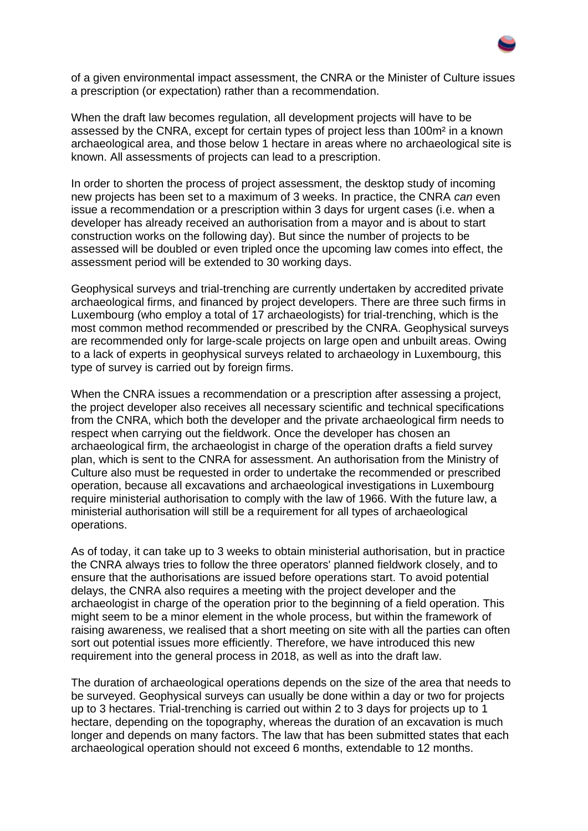

of a given environmental impact assessment, the CNRA or the Minister of Culture issues a prescription (or expectation) rather than a recommendation.

When the draft law becomes regulation, all development projects will have to be assessed by the CNRA, except for certain types of project less than 100m² in a known archaeological area, and those below 1 hectare in areas where no archaeological site is known. All assessments of projects can lead to a prescription.

In order to shorten the process of project assessment, the desktop study of incoming new projects has been set to a maximum of 3 weeks. In practice, the CNRA *can* even issue a recommendation or a prescription within 3 days for urgent cases (i.e. when a developer has already received an authorisation from a mayor and is about to start construction works on the following day). But since the number of projects to be assessed will be doubled or even tripled once the upcoming law comes into effect, the assessment period will be extended to 30 working days.

Geophysical surveys and trial-trenching are currently undertaken by accredited private archaeological firms, and financed by project developers. There are three such firms in Luxembourg (who employ a total of 17 archaeologists) for trial-trenching, which is the most common method recommended or prescribed by the CNRA. Geophysical surveys are recommended only for large-scale projects on large open and unbuilt areas. Owing to a lack of experts in geophysical surveys related to archaeology in Luxembourg, this type of survey is carried out by foreign firms.

When the CNRA issues a recommendation or a prescription after assessing a project, the project developer also receives all necessary scientific and technical specifications from the CNRA, which both the developer and the private archaeological firm needs to respect when carrying out the fieldwork. Once the developer has chosen an archaeological firm, the archaeologist in charge of the operation drafts a field survey plan, which is sent to the CNRA for assessment. An authorisation from the Ministry of Culture also must be requested in order to undertake the recommended or prescribed operation, because all excavations and archaeological investigations in Luxembourg require ministerial authorisation to comply with the law of 1966. With the future law, a ministerial authorisation will still be a requirement for all types of archaeological operations.

As of today, it can take up to 3 weeks to obtain ministerial authorisation, but in practice the CNRA always tries to follow the three operators' planned fieldwork closely, and to ensure that the authorisations are issued before operations start. To avoid potential delays, the CNRA also requires a meeting with the project developer and the archaeologist in charge of the operation prior to the beginning of a field operation. This might seem to be a minor element in the whole process, but within the framework of raising awareness, we realised that a short meeting on site with all the parties can often sort out potential issues more efficiently. Therefore, we have introduced this new requirement into the general process in 2018, as well as into the draft law.

The duration of archaeological operations depends on the size of the area that needs to be surveyed. Geophysical surveys can usually be done within a day or two for projects up to 3 hectares. Trial-trenching is carried out within 2 to 3 days for projects up to 1 hectare, depending on the topography, whereas the duration of an excavation is much longer and depends on many factors. The law that has been submitted states that each archaeological operation should not exceed 6 months, extendable to 12 months.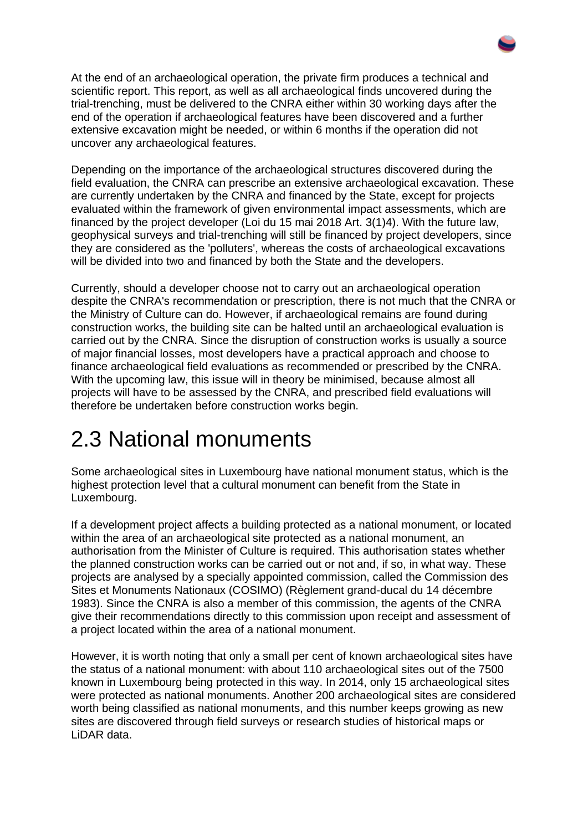At the end of an archaeological operation, the private firm produces a technical and scientific report. This report, as well as all archaeological finds uncovered during the trial-trenching, must be delivered to the CNRA either within 30 working days after the end of the operation if archaeological features have been discovered and a further extensive excavation might be needed, or within 6 months if the operation did not uncover any archaeological features.

Depending on the importance of the archaeological structures discovered during the field evaluation, the CNRA can prescribe an extensive archaeological excavation. These are currently undertaken by the CNRA and financed by the State, except for projects evaluated within the framework of given environmental impact assessments, which are financed by the project developer (Loi du 15 mai 2018 Art. 3(1)4). With the future law, geophysical surveys and trial-trenching will still be financed by project developers, since they are considered as the 'polluters', whereas the costs of archaeological excavations will be divided into two and financed by both the State and the developers.

Currently, should a developer choose not to carry out an archaeological operation despite the CNRA's recommendation or prescription, there is not much that the CNRA or the Ministry of Culture can do. However, if archaeological remains are found during construction works, the building site can be halted until an archaeological evaluation is carried out by the CNRA. Since the disruption of construction works is usually a source of major financial losses, most developers have a practical approach and choose to finance archaeological field evaluations as recommended or prescribed by the CNRA. With the upcoming law, this issue will in theory be minimised, because almost all projects will have to be assessed by the CNRA, and prescribed field evaluations will therefore be undertaken before construction works begin.

#### 2.3 National monuments

Some archaeological sites in Luxembourg have national monument status, which is the highest protection level that a cultural monument can benefit from the State in Luxembourg.

If a development project affects a building protected as a national monument, or located within the area of an archaeological site protected as a national monument, an authorisation from the Minister of Culture is required. This authorisation states whether the planned construction works can be carried out or not and, if so, in what way. These projects are analysed by a specially appointed commission, called the Commission des Sites et Monuments Nationaux (COSIMO) (Règlement grand-ducal du 14 décembre 1983). Since the CNRA is also a member of this commission, the agents of the CNRA give their recommendations directly to this commission upon receipt and assessment of a project located within the area of a national monument.

However, it is worth noting that only a small per cent of known archaeological sites have the status of a national monument: with about 110 archaeological sites out of the 7500 known in Luxembourg being protected in this way. In 2014, only 15 archaeological sites were protected as national monuments. Another 200 archaeological sites are considered worth being classified as national monuments, and this number keeps growing as new sites are discovered through field surveys or research studies of historical maps or LiDAR data.

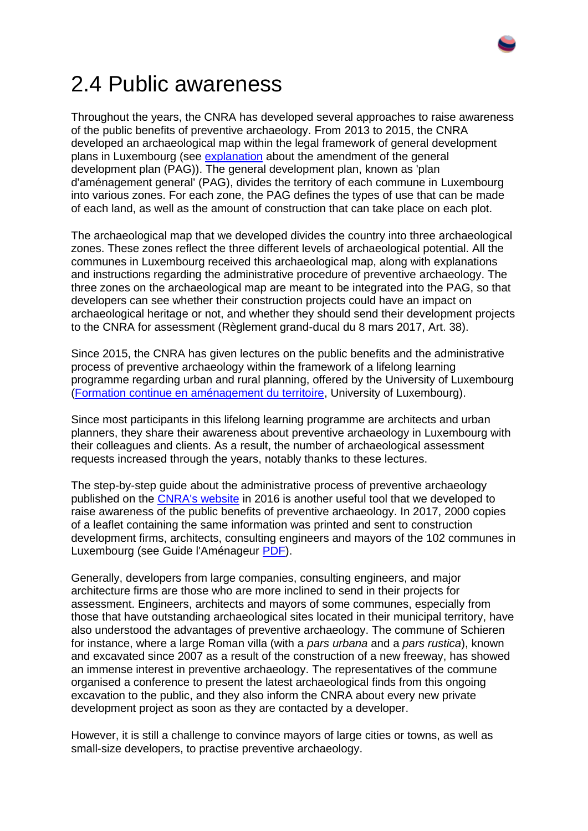

#### 2.4 Public awareness

Throughout the years, the CNRA has developed several approaches to raise awareness of the public benefits of preventive archaeology. From 2013 to 2015, the CNRA developed an archaeological map within the legal framework of general development plans in Luxembourg (see [explanation](https://guichet.public.lu/en/entreprises/urbanisme-environnement/construction-amenagement-site/construction-transformation-demolition/plan-amenagement-general.html) about the amendment of the general development plan (PAG)). The general development plan, known as 'plan d'aménagement general' (PAG), divides the territory of each commune in Luxembourg into various zones. For each zone, the PAG defines the types of use that can be made of each land, as well as the amount of construction that can take place on each plot.

The archaeological map that we developed divides the country into three archaeological zones. These zones reflect the three different levels of archaeological potential. All the communes in Luxembourg received this archaeological map, along with explanations and instructions regarding the administrative procedure of preventive archaeology. The three zones on the archaeological map are meant to be integrated into the PAG, so that developers can see whether their construction projects could have an impact on archaeological heritage or not, and whether they should send their development projects to the CNRA for assessment (Règlement grand-ducal du 8 mars 2017, Art. 38).

Since 2015, the CNRA has given lectures on the public benefits and the administrative process of preventive archaeology within the framework of a lifelong learning programme regarding urban and rural planning, offered by the University of Luxembourg [\(Formation continue en aménagement du territoire,](https://wwwen.uni.lu/formations/fhse/formation_continue_en_amenagement_du_territoire) University of Luxembourg).

Since most participants in this lifelong learning programme are architects and urban planners, they share their awareness about preventive archaeology in Luxembourg with their colleagues and clients. As a result, the number of archaeological assessment requests increased through the years, notably thanks to these lectures.

The step-by-step guide about the administrative process of preventive archaeology published on the [CNRA's website](https://cnra.lu/fr/amenagement) in 2016 is another useful tool that we developed to raise awareness of the public benefits of preventive archaeology. In 2017, 2000 copies of a leaflet containing the same information was printed and sent to construction development firms, architects, consulting engineers and mayors of the 102 communes in Luxembourg (see Guide l'Aménageur [PDF\)](https://cnra.lu/fr/amenagement/CNRA-Guide_amenageur.pdf).

Generally, developers from large companies, consulting engineers, and major architecture firms are those who are more inclined to send in their projects for assessment. Engineers, architects and mayors of some communes, especially from those that have outstanding archaeological sites located in their municipal territory, have also understood the advantages of preventive archaeology. The commune of Schieren for instance, where a large Roman villa (with a *pars urbana* and a *pars rustica*), known and excavated since 2007 as a result of the construction of a new freeway, has showed an immense interest in preventive archaeology. The representatives of the commune organised a conference to present the latest archaeological finds from this ongoing excavation to the public, and they also inform the CNRA about every new private development project as soon as they are contacted by a developer.

However, it is still a challenge to convince mayors of large cities or towns, as well as small-size developers, to practise preventive archaeology.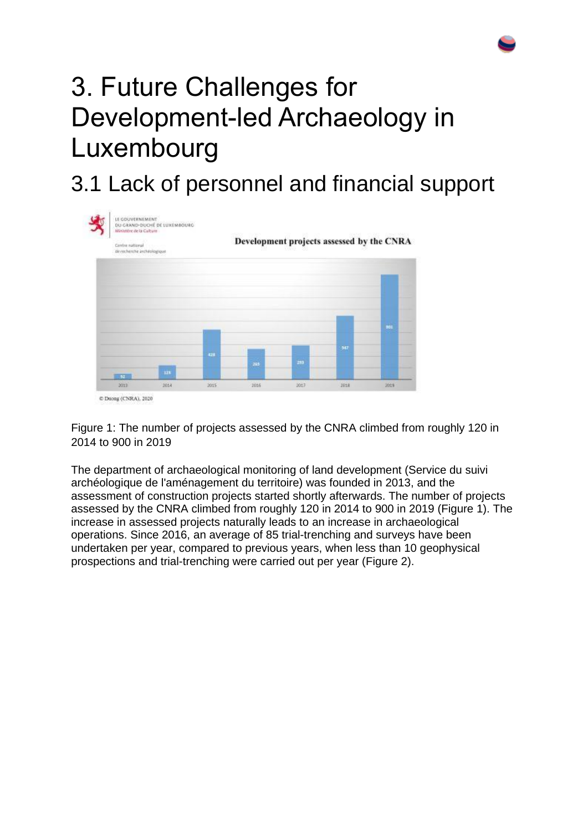# 3. Future Challenges for Development-led Archaeology in Luxembourg

#### 3.1 Lack of personnel and financial support



Figure 1: The number of projects assessed by the CNRA climbed from roughly 120 in 2014 to 900 in 2019

The department of archaeological monitoring of land development (Service du suivi archéologique de l'aménagement du territoire) was founded in 2013, and the assessment of construction projects started shortly afterwards. The number of projects assessed by the CNRA climbed from roughly 120 in 2014 to 900 in 2019 (Figure 1). The increase in assessed projects naturally leads to an increase in archaeological operations. Since 2016, an average of 85 trial-trenching and surveys have been undertaken per year, compared to previous years, when less than 10 geophysical prospections and trial-trenching were carried out per year (Figure 2).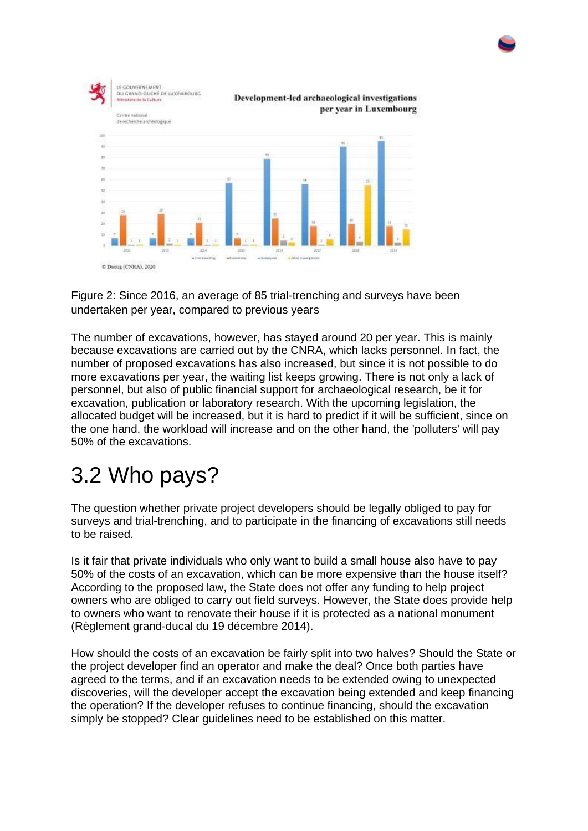

Figure 2: Since 2016, an average of 85 trial-trenching and surveys have been undertaken per year, compared to previous years

The number of excavations, however, has stayed around 20 per year. This is mainly because excavations are carried out by the CNRA, which lacks personnel. In fact, the number of proposed excavations has also increased, but since it is not possible to do more excavations per year, the waiting list keeps growing. There is not only a lack of personnel, but also of public financial support for archaeological research, be it for excavation, publication or laboratory research. With the upcoming legislation, the allocated budget will be increased, but it is hard to predict if it will be sufficient, since on the one hand, the workload will increase and on the other hand, the 'polluters' will pay 50% of the excavations.

#### 3.2 Who pays?

The question whether private project developers should be legally obliged to pay for surveys and trial-trenching, and to participate in the financing of excavations still needs to be raised.

Is it fair that private individuals who only want to build a small house also have to pay 50% of the costs of an excavation, which can be more expensive than the house itself? According to the proposed law, the State does not offer any funding to help project owners who are obliged to carry out field surveys. However, the State does provide help to owners who want to renovate their house if it is protected as a national monument (Règlement grand-ducal du 19 décembre 2014).

How should the costs of an excavation be fairly split into two halves? Should the State or the project developer find an operator and make the deal? Once both parties have agreed to the terms, and if an excavation needs to be extended owing to unexpected discoveries, will the developer accept the excavation being extended and keep financing the operation? If the developer refuses to continue financing, should the excavation simply be stopped? Clear guidelines need to be established on this matter.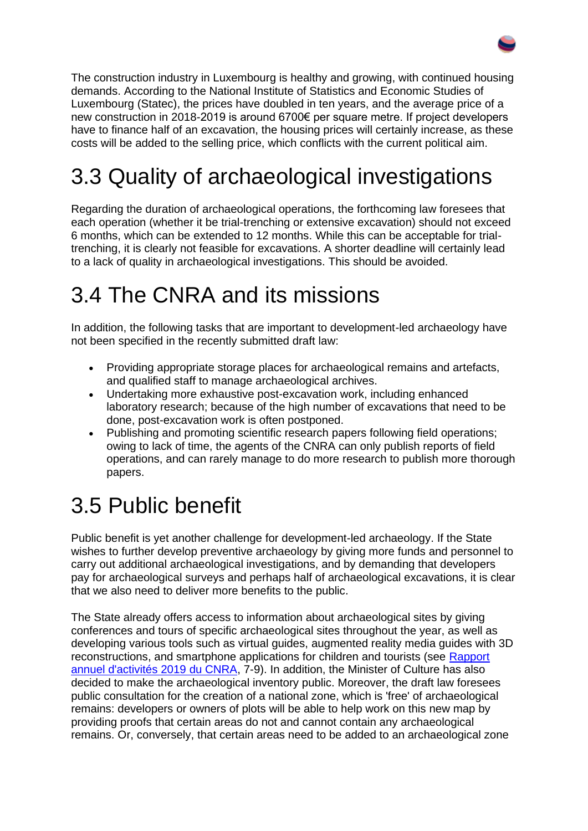The construction industry in Luxembourg is healthy and growing, with continued housing demands. According to the National Institute of Statistics and Economic Studies of Luxembourg (Statec), the prices have doubled in ten years, and the average price of a new construction in 2018-2019 is around 6700€ per square metre. If project developers have to finance half of an excavation, the housing prices will certainly increase, as these costs will be added to the selling price, which conflicts with the current political aim.

## 3.3 Quality of archaeological investigations

Regarding the duration of archaeological operations, the forthcoming law foresees that each operation (whether it be trial-trenching or extensive excavation) should not exceed 6 months, which can be extended to 12 months. While this can be acceptable for trialtrenching, it is clearly not feasible for excavations. A shorter deadline will certainly lead to a lack of quality in archaeological investigations. This should be avoided.

#### 3.4 The CNRA and its missions

In addition, the following tasks that are important to development-led archaeology have not been specified in the recently submitted draft law:

- Providing appropriate storage places for archaeological remains and artefacts, and qualified staff to manage archaeological archives.
- Undertaking more exhaustive post-excavation work, including enhanced laboratory research; because of the high number of excavations that need to be done, post-excavation work is often postponed.
- Publishing and promoting scientific research papers following field operations; owing to lack of time, the agents of the CNRA can only publish reports of field operations, and can rarely manage to do more research to publish more thorough papers.

#### 3.5 Public benefit

Public benefit is yet another challenge for development-led archaeology. If the State wishes to further develop preventive archaeology by giving more funds and personnel to carry out additional archaeological investigations, and by demanding that developers pay for archaeological surveys and perhaps half of archaeological excavations, it is clear that we also need to deliver more benefits to the public.

The State already offers access to information about archaeological sites by giving conferences and tours of specific archaeological sites throughout the year, as well as developing various tools such as virtual guides, augmented reality media guides with 3D reconstructions, and smartphone applications for children and tourists (see [Rapport](https://cnra.lu/publications/rapport-dactivite/CNRA_Rapport-d-activites-2019.pdf)  [annuel d'activités 2019 du CNRA,](https://cnra.lu/publications/rapport-dactivite/CNRA_Rapport-d-activites-2019.pdf) 7-9). In addition, the Minister of Culture has also decided to make the archaeological inventory public. Moreover, the draft law foresees public consultation for the creation of a national zone, which is 'free' of archaeological remains: developers or owners of plots will be able to help work on this new map by providing proofs that certain areas do not and cannot contain any archaeological remains. Or, conversely, that certain areas need to be added to an archaeological zone

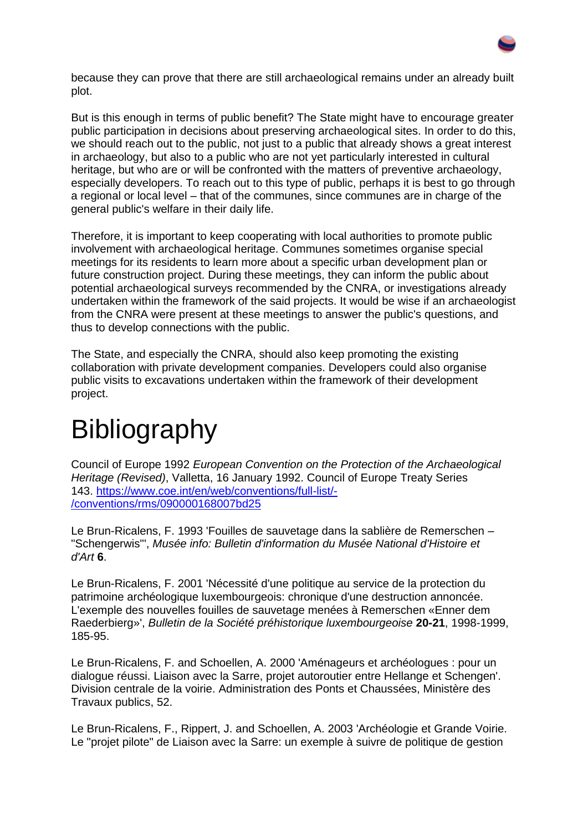

because they can prove that there are still archaeological remains under an already built plot.

But is this enough in terms of public benefit? The State might have to encourage greater public participation in decisions about preserving archaeological sites. In order to do this, we should reach out to the public, not just to a public that already shows a great interest in archaeology, but also to a public who are not yet particularly interested in cultural heritage, but who are or will be confronted with the matters of preventive archaeology, especially developers. To reach out to this type of public, perhaps it is best to go through a regional or local level – that of the communes, since communes are in charge of the general public's welfare in their daily life.

Therefore, it is important to keep cooperating with local authorities to promote public involvement with archaeological heritage. Communes sometimes organise special meetings for its residents to learn more about a specific urban development plan or future construction project. During these meetings, they can inform the public about potential archaeological surveys recommended by the CNRA, or investigations already undertaken within the framework of the said projects. It would be wise if an archaeologist from the CNRA were present at these meetings to answer the public's questions, and thus to develop connections with the public.

The State, and especially the CNRA, should also keep promoting the existing collaboration with private development companies. Developers could also organise public visits to excavations undertaken within the framework of their development project.

## Bibliography

Council of Europe 1992 *European Convention on the Protection of the Archaeological Heritage (Revised)*, Valletta, 16 January 1992. Council of Europe Treaty Series 143. [https://www.coe.int/en/web/conventions/full-list/-](https://www.coe.int/en/web/conventions/full-list/-/conventions/rms/090000168007bd25) [/conventions/rms/090000168007bd25](https://www.coe.int/en/web/conventions/full-list/-/conventions/rms/090000168007bd25)

Le Brun-Ricalens, F. 1993 'Fouilles de sauvetage dans la sablière de Remerschen – "Schengerwis"', *Musée info: Bulletin d'information du Musée National d'Histoire et d'Art* **6**.

Le Brun-Ricalens, F. 2001 'Nécessité d'une politique au service de la protection du patrimoine archéologique luxembourgeois: chronique d'une destruction annoncée. L'exemple des nouvelles fouilles de sauvetage menées à Remerschen «Enner dem Raederbierg»', *Bulletin de la Société préhistorique luxembourgeoise* **20-21**, 1998-1999, 185-95.

Le Brun-Ricalens, F. and Schoellen, A. 2000 'Aménageurs et archéologues : pour un dialogue réussi. Liaison avec la Sarre, projet autoroutier entre Hellange et Schengen'. Division centrale de la voirie. Administration des Ponts et Chaussées, Ministère des Travaux publics, 52.

Le Brun-Ricalens, F., Rippert, J. and Schoellen, A. 2003 'Archéologie et Grande Voirie. Le "projet pilote" de Liaison avec la Sarre: un exemple à suivre de politique de gestion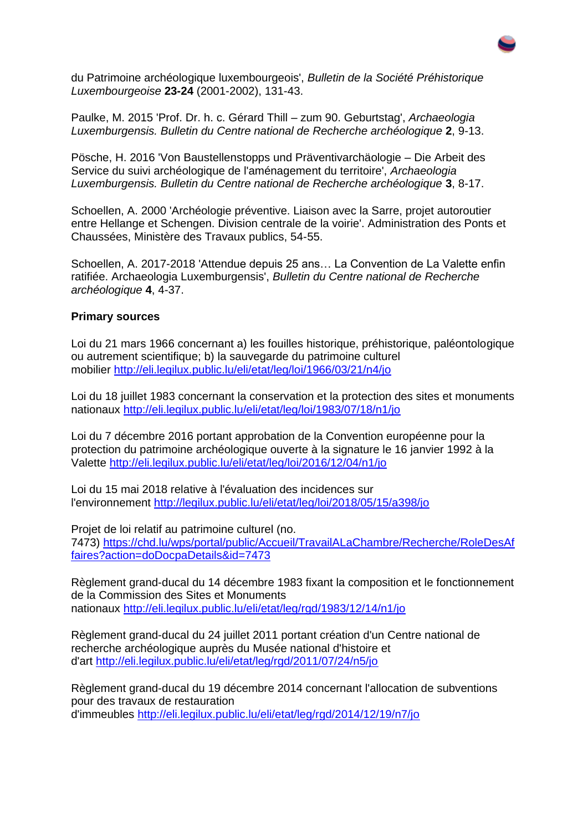

du Patrimoine archéologique luxembourgeois', *Bulletin de la Société Préhistorique Luxembourgeoise* **23-24** (2001-2002), 131-43.

Paulke, M. 2015 'Prof. Dr. h. c. Gérard Thill – zum 90. Geburtstag', *Archaeologia Luxemburgensis. Bulletin du Centre national de Recherche archéologique* **2**, 9-13.

Pösche, H. 2016 'Von Baustellenstopps und Präventivarchäologie – Die Arbeit des Service du suivi archéologique de l'aménagement du territoire', *Archaeologia Luxemburgensis. Bulletin du Centre national de Recherche archéologique* **3**, 8-17.

Schoellen, A. 2000 'Archéologie préventive. Liaison avec la Sarre, projet autoroutier entre Hellange et Schengen. Division centrale de la voirie'. Administration des Ponts et Chaussées, Ministère des Travaux publics, 54-55.

Schoellen, A. 2017-2018 'Attendue depuis 25 ans… La Convention de La Valette enfin ratifiée. Archaeologia Luxemburgensis', *Bulletin du Centre national de Recherche archéologique* **4**, 4-37.

#### **Primary sources**

Loi du 21 mars 1966 concernant a) les fouilles historique, préhistorique, paléontologique ou autrement scientifique; b) la sauvegarde du patrimoine culturel mobilier <http://eli.legilux.public.lu/eli/etat/leg/loi/1966/03/21/n4/jo>

Loi du 18 juillet 1983 concernant la conservation et la protection des sites et monuments nationaux <http://eli.legilux.public.lu/eli/etat/leg/loi/1983/07/18/n1/jo>

Loi du 7 décembre 2016 portant approbation de la Convention européenne pour la protection du patrimoine archéologique ouverte à la signature le 16 janvier 1992 à la Valette <http://eli.legilux.public.lu/eli/etat/leg/loi/2016/12/04/n1/jo>

Loi du 15 mai 2018 relative à l'évaluation des incidences sur l'environnement <http://legilux.public.lu/eli/etat/leg/loi/2018/05/15/a398/jo>

Projet de loi relatif au patrimoine culturel (no. 7473) [https://chd.lu/wps/portal/public/Accueil/TravailALaChambre/Recherche/RoleDesAf](https://chd.lu/wps/portal/public/Accueil/TravailALaChambre/Recherche/RoleDesAffaires?action=doDocpaDetails&id=7473) [faires?action=doDocpaDetails&id=7473](https://chd.lu/wps/portal/public/Accueil/TravailALaChambre/Recherche/RoleDesAffaires?action=doDocpaDetails&id=7473)

Règlement grand-ducal du 14 décembre 1983 fixant la composition et le fonctionnement de la Commission des Sites et Monuments nationaux <http://eli.legilux.public.lu/eli/etat/leg/rgd/1983/12/14/n1/jo>

Règlement grand-ducal du 24 juillet 2011 portant création d'un Centre national de recherche archéologique auprès du Musée national d'histoire et d'art <http://eli.legilux.public.lu/eli/etat/leg/rgd/2011/07/24/n5/jo>

Règlement grand-ducal du 19 décembre 2014 concernant l'allocation de subventions pour des travaux de restauration d'immeubles <http://eli.legilux.public.lu/eli/etat/leg/rgd/2014/12/19/n7/jo>